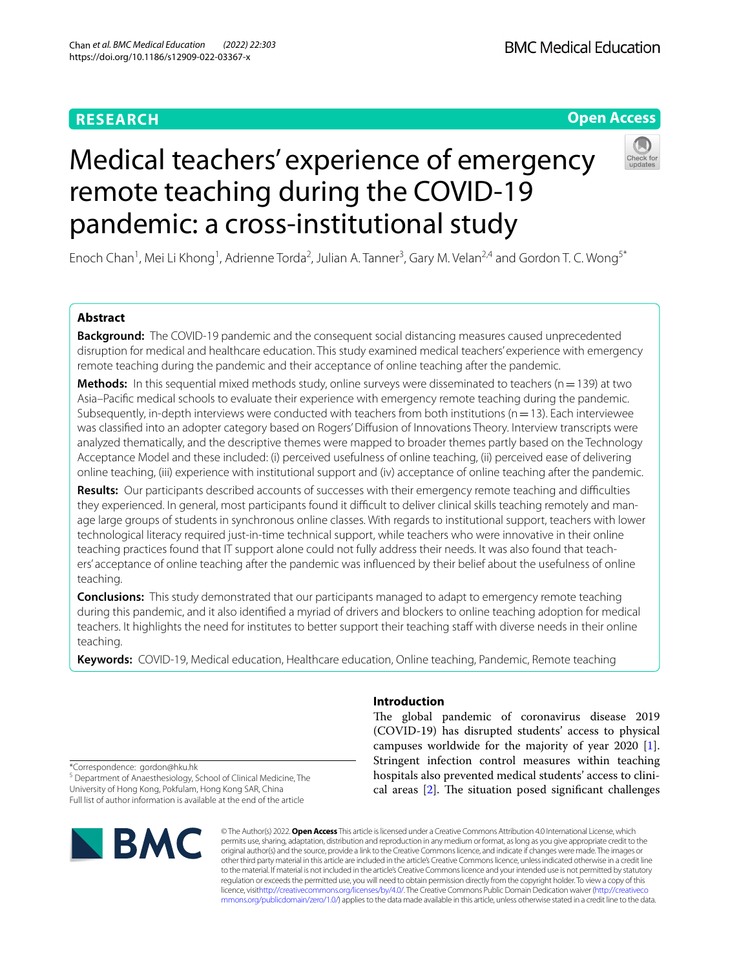# **RESEARCH**

# **Open Access**

# Medical teachers' experience of emergency remote teaching during the COVID-19 pandemic: a cross-institutional study



Enoch Chan<sup>1</sup>, Mei Li Khong<sup>1</sup>, Adrienne Torda<sup>2</sup>, Julian A. Tanner<sup>3</sup>, Gary M. Velan<sup>2,4</sup> and Gordon T. C. Wong<sup>5\*</sup>

# **Abstract**

**Background:** The COVID-19 pandemic and the consequent social distancing measures caused unprecedented disruption for medical and healthcare education. This study examined medical teachers' experience with emergency remote teaching during the pandemic and their acceptance of online teaching after the pandemic.

**Methods:** In this sequential mixed methods study, online surveys were disseminated to teachers ( $n=139$ ) at two Asia–Pacifc medical schools to evaluate their experience with emergency remote teaching during the pandemic. Subsequently, in-depth interviews were conducted with teachers from both institutions ( $n=13$ ). Each interviewee was classifed into an adopter category based on Rogers' Difusion of Innovations Theory. Interview transcripts were analyzed thematically, and the descriptive themes were mapped to broader themes partly based on the Technology Acceptance Model and these included: (i) perceived usefulness of online teaching, (ii) perceived ease of delivering online teaching, (iii) experience with institutional support and (iv) acceptance of online teaching after the pandemic.

**Results:** Our participants described accounts of successes with their emergency remote teaching and difficulties they experienced. In general, most participants found it difficult to deliver clinical skills teaching remotely and manage large groups of students in synchronous online classes. With regards to institutional support, teachers with lower technological literacy required just-in-time technical support, while teachers who were innovative in their online teaching practices found that IT support alone could not fully address their needs. It was also found that teachers' acceptance of online teaching after the pandemic was infuenced by their belief about the usefulness of online teaching.

**Conclusions:** This study demonstrated that our participants managed to adapt to emergency remote teaching during this pandemic, and it also identifed a myriad of drivers and blockers to online teaching adoption for medical teachers. It highlights the need for institutes to better support their teaching staf with diverse needs in their online teaching.

**Keywords:** COVID-19, Medical education, Healthcare education, Online teaching, Pandemic, Remote teaching

# **Introduction**

The global pandemic of coronavirus disease 2019 (COVID-19) has disrupted students' access to physical campuses worldwide for the majority of year 2020 [\[1](#page-11-0)]. Stringent infection control measures within teaching hospitals also prevented medical students' access to clinical areas  $[2]$  $[2]$ . The situation posed significant challenges

\*Correspondence: gordon@hku.hk

<sup>5</sup> Department of Anaesthesiology, School of Clinical Medicine, The University of Hong Kong, Pokfulam, Hong Kong SAR, China Full list of author information is available at the end of the article



© The Author(s) 2022. **Open Access** This article is licensed under a Creative Commons Attribution 4.0 International License, which permits use, sharing, adaptation, distribution and reproduction in any medium or format, as long as you give appropriate credit to the original author(s) and the source, provide a link to the Creative Commons licence, and indicate if changes were made. The images or other third party material in this article are included in the article's Creative Commons licence, unless indicated otherwise in a credit line to the material. If material is not included in the article's Creative Commons licence and your intended use is not permitted by statutory regulation or exceeds the permitted use, you will need to obtain permission directly from the copyright holder. To view a copy of this licence, visi[thttp://creativecommons.org/licenses/by/4.0/](http://creativecommons.org/licenses/by/4.0/). The Creative Commons Public Domain Dedication waiver [\(http://creativeco](http://creativecommons.org/publicdomain/zero/1.0/) [mmons.org/publicdomain/zero/1.0/](http://creativecommons.org/publicdomain/zero/1.0/)) applies to the data made available in this article, unless otherwise stated in a credit line to the data.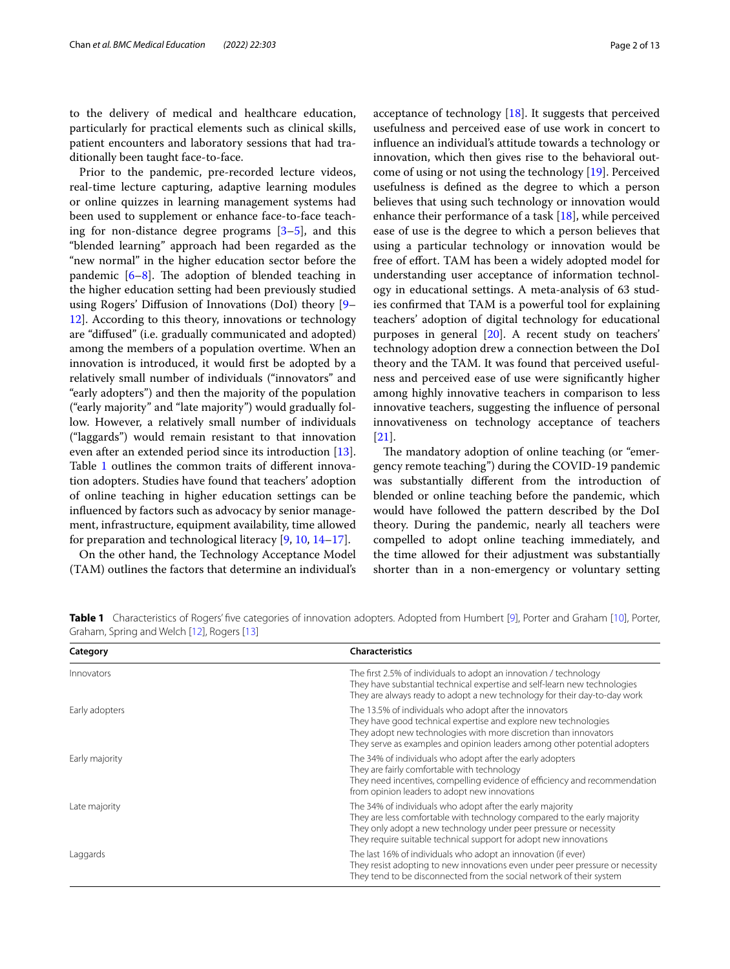to the delivery of medical and healthcare education, particularly for practical elements such as clinical skills, patient encounters and laboratory sessions that had traditionally been taught face-to-face.

Prior to the pandemic, pre-recorded lecture videos, real-time lecture capturing, adaptive learning modules or online quizzes in learning management systems had been used to supplement or enhance face-to-face teaching for non-distance degree programs  $[3-5]$  $[3-5]$ , and this "blended learning" approach had been regarded as the "new normal" in the higher education sector before the pandemic  $[6-8]$  $[6-8]$ . The adoption of blended teaching in the higher education setting had been previously studied using Rogers' Difusion of Innovations (DoI) theory [[9–](#page-11-6) [12\]](#page-11-7). According to this theory, innovations or technology are "difused" (i.e. gradually communicated and adopted) among the members of a population overtime. When an innovation is introduced, it would frst be adopted by a relatively small number of individuals ("innovators" and "early adopters") and then the majority of the population ("early majority" and "late majority") would gradually follow. However, a relatively small number of individuals ("laggards") would remain resistant to that innovation even after an extended period since its introduction [\[13](#page-11-8)]. Table [1](#page-1-0) outlines the common traits of different innovation adopters. Studies have found that teachers' adoption of online teaching in higher education settings can be infuenced by factors such as advocacy by senior management, infrastructure, equipment availability, time allowed for preparation and technological literacy [\[9](#page-11-6), [10,](#page-11-9) [14](#page-11-10)–[17\]](#page-11-11).

On the other hand, the Technology Acceptance Model (TAM) outlines the factors that determine an individual's acceptance of technology [\[18](#page-11-12)]. It suggests that perceived usefulness and perceived ease of use work in concert to infuence an individual's attitude towards a technology or innovation, which then gives rise to the behavioral outcome of using or not using the technology [[19\]](#page-11-13). Perceived usefulness is defned as the degree to which a person believes that using such technology or innovation would enhance their performance of a task [\[18](#page-11-12)], while perceived ease of use is the degree to which a person believes that using a particular technology or innovation would be free of efort. TAM has been a widely adopted model for understanding user acceptance of information technology in educational settings. A meta-analysis of 63 studies confrmed that TAM is a powerful tool for explaining teachers' adoption of digital technology for educational purposes in general [[20\]](#page-11-14). A recent study on teachers' technology adoption drew a connection between the DoI theory and the TAM. It was found that perceived usefulness and perceived ease of use were signifcantly higher among highly innovative teachers in comparison to less innovative teachers, suggesting the infuence of personal innovativeness on technology acceptance of teachers [[21\]](#page-11-15).

The mandatory adoption of online teaching (or "emergency remote teaching") during the COVID-19 pandemic was substantially diferent from the introduction of blended or online teaching before the pandemic, which would have followed the pattern described by the DoI theory. During the pandemic, nearly all teachers were compelled to adopt online teaching immediately, and the time allowed for their adjustment was substantially shorter than in a non-emergency or voluntary setting

<span id="page-1-0"></span>

| Table 1 Characteristics of Rogers' five categories of innovation adopters. Adopted from Humbert [9], Porter and Graham [10], Porter, |  |  |  |
|--------------------------------------------------------------------------------------------------------------------------------------|--|--|--|
| Graham, Spring and Welch [12], Rogers [13]                                                                                           |  |  |  |

| Category       | <b>Characteristics</b>                                                                                                                                                                                                                                                          |
|----------------|---------------------------------------------------------------------------------------------------------------------------------------------------------------------------------------------------------------------------------------------------------------------------------|
| Innovators     | The first 2.5% of individuals to adopt an innovation / technology<br>They have substantial technical expertise and self-learn new technologies<br>They are always ready to adopt a new technology for their day-to-day work                                                     |
| Early adopters | The 13.5% of individuals who adopt after the innovators<br>They have good technical expertise and explore new technologies<br>They adopt new technologies with more discretion than innovators<br>They serve as examples and opinion leaders among other potential adopters     |
| Early majority | The 34% of individuals who adopt after the early adopters<br>They are fairly comfortable with technology<br>They need incentives, compelling evidence of efficiency and recommendation<br>from opinion leaders to adopt new innovations                                         |
| Late majority  | The 34% of individuals who adopt after the early majority<br>They are less comfortable with technology compared to the early majority<br>They only adopt a new technology under peer pressure or necessity<br>They require suitable technical support for adopt new innovations |
| Laggards       | The last 16% of individuals who adopt an innovation (if ever)<br>They resist adopting to new innovations even under peer pressure or necessity<br>They tend to be disconnected from the social network of their system                                                          |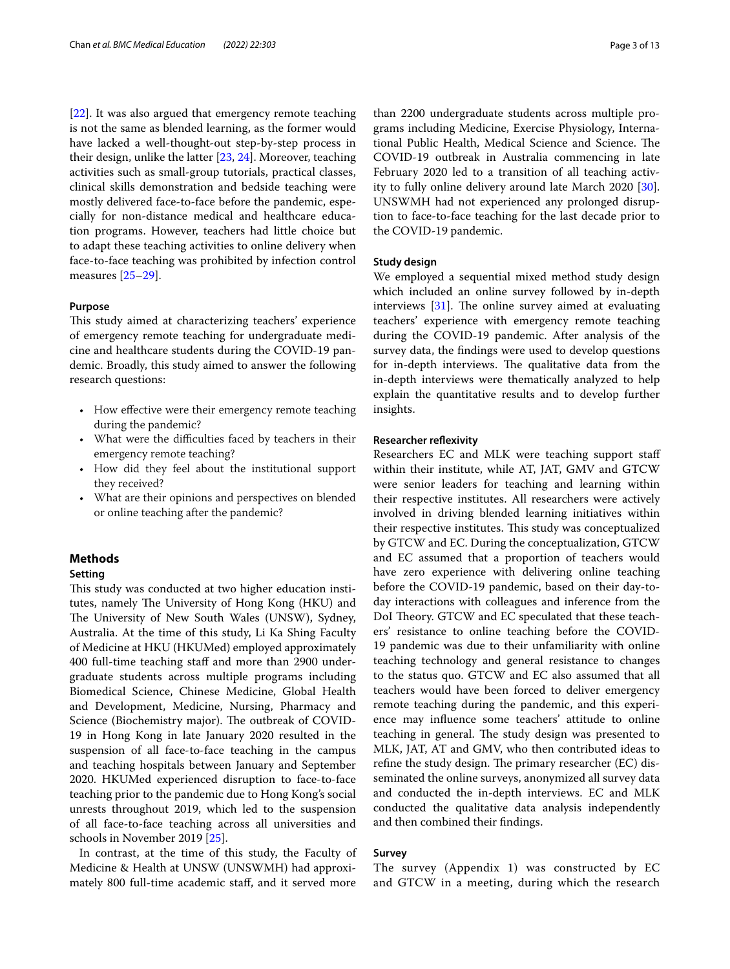[[22\]](#page-11-16). It was also argued that emergency remote teaching is not the same as blended learning, as the former would have lacked a well-thought-out step-by-step process in their design, unlike the latter [[23](#page-11-17), [24\]](#page-11-18). Moreover, teaching activities such as small-group tutorials, practical classes, clinical skills demonstration and bedside teaching were mostly delivered face-to-face before the pandemic, especially for non-distance medical and healthcare education programs. However, teachers had little choice but to adapt these teaching activities to online delivery when face-to-face teaching was prohibited by infection control measures [[25–](#page-11-19)[29](#page-11-20)].

# **Purpose**

This study aimed at characterizing teachers' experience of emergency remote teaching for undergraduate medicine and healthcare students during the COVID-19 pandemic. Broadly, this study aimed to answer the following research questions:

- How effective were their emergency remote teaching during the pandemic?
- What were the difficulties faced by teachers in their emergency remote teaching?
- How did they feel about the institutional support they received?
- What are their opinions and perspectives on blended or online teaching after the pandemic?

# **Methods**

# **Setting**

This study was conducted at two higher education institutes, namely The University of Hong Kong (HKU) and The University of New South Wales (UNSW), Sydney, Australia. At the time of this study, Li Ka Shing Faculty of Medicine at HKU (HKUMed) employed approximately 400 full-time teaching staff and more than 2900 undergraduate students across multiple programs including Biomedical Science, Chinese Medicine, Global Health and Development, Medicine, Nursing, Pharmacy and Science (Biochemistry major). The outbreak of COVID-19 in Hong Kong in late January 2020 resulted in the suspension of all face-to-face teaching in the campus and teaching hospitals between January and September 2020. HKUMed experienced disruption to face-to-face teaching prior to the pandemic due to Hong Kong's social unrests throughout 2019, which led to the suspension of all face-to-face teaching across all universities and schools in November 2019 [[25\]](#page-11-19).

In contrast, at the time of this study, the Faculty of Medicine & Health at UNSW (UNSWMH) had approximately 800 full-time academic staf, and it served more than 2200 undergraduate students across multiple programs including Medicine, Exercise Physiology, International Public Health, Medical Science and Science. The COVID-19 outbreak in Australia commencing in late February 2020 led to a transition of all teaching activity to fully online delivery around late March 2020 [\[30](#page-11-21)]. UNSWMH had not experienced any prolonged disruption to face-to-face teaching for the last decade prior to the COVID-19 pandemic.

## **Study design**

We employed a sequential mixed method study design which included an online survey followed by in-depth interviews  $[31]$  $[31]$  $[31]$ . The online survey aimed at evaluating teachers' experience with emergency remote teaching during the COVID-19 pandemic. After analysis of the survey data, the fndings were used to develop questions for in-depth interviews. The qualitative data from the in-depth interviews were thematically analyzed to help explain the quantitative results and to develop further insights.

# **Researcher refexivity**

Researchers EC and MLK were teaching support staf within their institute, while AT, JAT, GMV and GTCW were senior leaders for teaching and learning within their respective institutes. All researchers were actively involved in driving blended learning initiatives within their respective institutes. This study was conceptualized by GTCW and EC. During the conceptualization, GTCW and EC assumed that a proportion of teachers would have zero experience with delivering online teaching before the COVID-19 pandemic, based on their day-today interactions with colleagues and inference from the DoI Theory. GTCW and EC speculated that these teachers' resistance to online teaching before the COVID-19 pandemic was due to their unfamiliarity with online teaching technology and general resistance to changes to the status quo. GTCW and EC also assumed that all teachers would have been forced to deliver emergency remote teaching during the pandemic, and this experience may infuence some teachers' attitude to online teaching in general. The study design was presented to MLK, JAT, AT and GMV, who then contributed ideas to refine the study design. The primary researcher (EC) disseminated the online surveys, anonymized all survey data and conducted the in-depth interviews. EC and MLK conducted the qualitative data analysis independently and then combined their fndings.

# **Survey**

The survey (Appendix 1) was constructed by EC and GTCW in a meeting, during which the research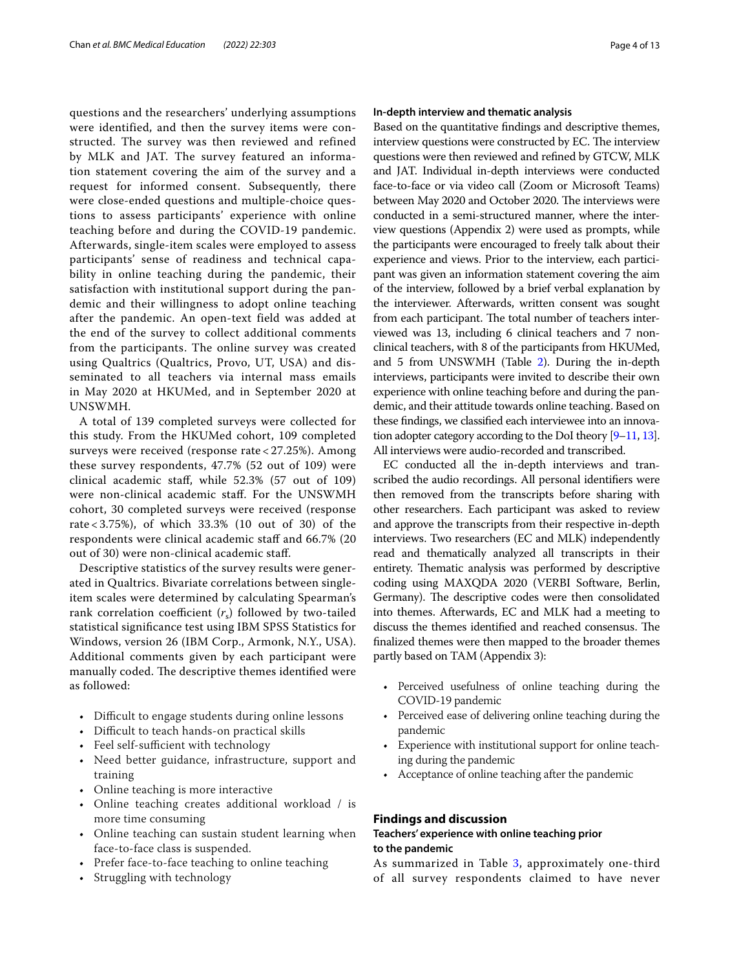questions and the researchers' underlying assumptions were identified, and then the survey items were constructed. The survey was then reviewed and refined by MLK and JAT. The survey featured an information statement covering the aim of the survey and a request for informed consent. Subsequently, there were close-ended questions and multiple-choice questions to assess participants' experience with online teaching before and during the COVID-19 pandemic. Afterwards, single-item scales were employed to assess participants' sense of readiness and technical capability in online teaching during the pandemic, their satisfaction with institutional support during the pandemic and their willingness to adopt online teaching after the pandemic. An open-text field was added at the end of the survey to collect additional comments from the participants. The online survey was created using Qualtrics (Qualtrics, Provo, UT, USA) and disseminated to all teachers via internal mass emails in May 2020 at HKUMed, and in September 2020 at UNSWMH.

A total of 139 completed surveys were collected for this study. From the HKUMed cohort, 109 completed surveys were received (response rate < 27.25%). Among these survey respondents, 47.7% (52 out of 109) were clinical academic staf, while 52.3% (57 out of 109) were non-clinical academic staf. For the UNSWMH cohort, 30 completed surveys were received (response rate < 3.75%), of which 33.3% (10 out of 30) of the respondents were clinical academic staff and 66.7% (20 out of 30) were non-clinical academic staf.

Descriptive statistics of the survey results were generated in Qualtrics. Bivariate correlations between singleitem scales were determined by calculating Spearman's rank correlation coefficient  $(r<sub>s</sub>)$  followed by two-tailed statistical signifcance test using IBM SPSS Statistics for Windows, version 26 (IBM Corp., Armonk, N.Y., USA). Additional comments given by each participant were manually coded. The descriptive themes identified were as followed:

- Difficult to engage students during online lessons
- Difficult to teach hands-on practical skills
- Feel self-sufficient with technology
- Need better guidance, infrastructure, support and training
- Online teaching is more interactive
- Online teaching creates additional workload / is more time consuming
- Online teaching can sustain student learning when face-to-face class is suspended.
- Prefer face-to-face teaching to online teaching
- Struggling with technology

# **In‑depth interview and thematic analysis**

Based on the quantitative fndings and descriptive themes, interview questions were constructed by EC. The interview questions were then reviewed and refned by GTCW, MLK and JAT. Individual in-depth interviews were conducted face-to-face or via video call (Zoom or Microsoft Teams) between May 2020 and October 2020. The interviews were conducted in a semi-structured manner, where the interview questions (Appendix 2) were used as prompts, while the participants were encouraged to freely talk about their experience and views. Prior to the interview, each participant was given an information statement covering the aim of the interview, followed by a brief verbal explanation by the interviewer. Afterwards, written consent was sought from each participant. The total number of teachers interviewed was 13, including 6 clinical teachers and 7 nonclinical teachers, with 8 of the participants from HKUMed, and 5 from UNSWMH (Table [2](#page-4-0)). During the in-depth interviews, participants were invited to describe their own experience with online teaching before and during the pandemic, and their attitude towards online teaching. Based on these fndings, we classifed each interviewee into an innovation adopter category according to the DoI theory [\[9](#page-11-6)[–11](#page-11-23), [13](#page-11-8)]. All interviews were audio-recorded and transcribed.

EC conducted all the in-depth interviews and transcribed the audio recordings. All personal identifers were then removed from the transcripts before sharing with other researchers. Each participant was asked to review and approve the transcripts from their respective in-depth interviews. Two researchers (EC and MLK) independently read and thematically analyzed all transcripts in their entirety. Thematic analysis was performed by descriptive coding using MAXQDA 2020 (VERBI Software, Berlin, Germany). The descriptive codes were then consolidated into themes. Afterwards, EC and MLK had a meeting to discuss the themes identified and reached consensus. The fnalized themes were then mapped to the broader themes partly based on TAM (Appendix 3):

- Perceived usefulness of online teaching during the COVID-19 pandemic
- Perceived ease of delivering online teaching during the pandemic
- Experience with institutional support for online teaching during the pandemic
- Acceptance of online teaching after the pandemic

# **Findings and discussion**

# **Teachers' experience with online teaching prior to the pandemic**

As summarized in Table [3,](#page-4-1) approximately one-third of all survey respondents claimed to have never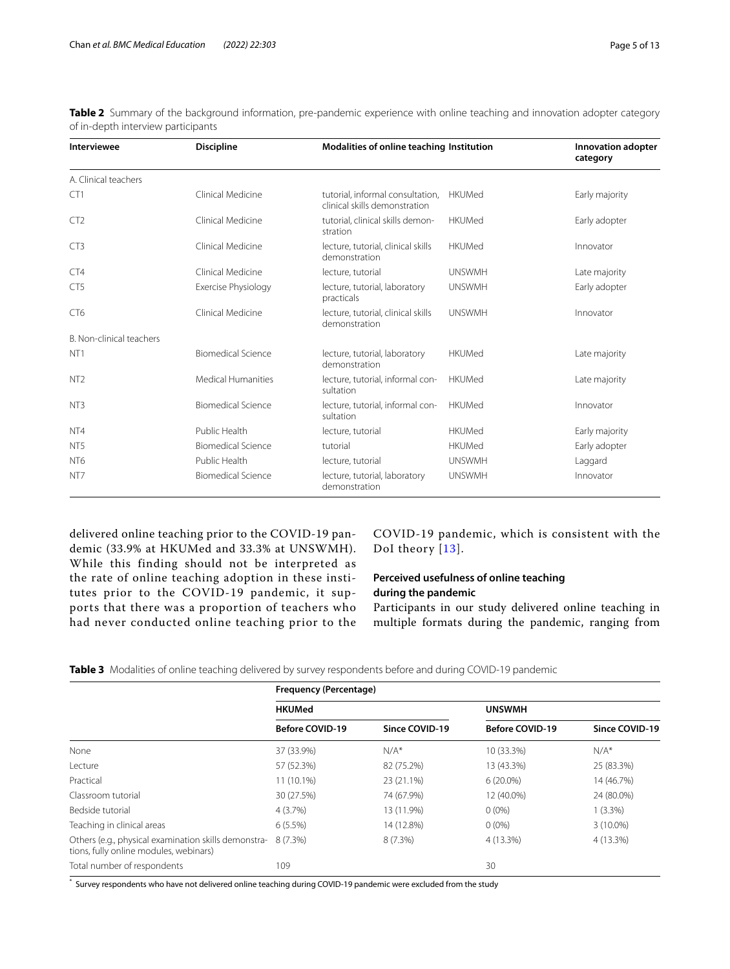| <b>Interviewee</b>       | <b>Discipline</b>         | Modalities of online teaching Institution                         |               | Innovation adopter<br>category |  |
|--------------------------|---------------------------|-------------------------------------------------------------------|---------------|--------------------------------|--|
| A. Clinical teachers     |                           |                                                                   |               |                                |  |
| CT1                      | Clinical Medicine         | tutorial, informal consultation,<br>clinical skills demonstration | <b>HKUMed</b> | Early majority                 |  |
| CT <sub>2</sub>          | Clinical Medicine         | tutorial, clinical skills demon-<br>stration                      | <b>HKUMed</b> | Early adopter                  |  |
| CT3                      | Clinical Medicine         | lecture, tutorial, clinical skills<br>demonstration               | <b>HKUMed</b> | Innovator                      |  |
| CT4                      | Clinical Medicine         | lecture, tutorial                                                 | <b>UNSWMH</b> | Late majority                  |  |
| CT <sub>5</sub>          | Exercise Physiology       | lecture, tutorial, laboratory<br>practicals                       | <b>UNSWMH</b> | Early adopter                  |  |
| CT <sub>6</sub>          | Clinical Medicine         | lecture, tutorial, clinical skills<br>demonstration               | <b>UNSWMH</b> | Innovator                      |  |
| B. Non-clinical teachers |                           |                                                                   |               |                                |  |
| NT <sub>1</sub>          | Biomedical Science        | lecture, tutorial, laboratory<br>demonstration                    | <b>HKUMed</b> | Late majority                  |  |
| NT <sub>2</sub>          | <b>Medical Humanities</b> | lecture, tutorial, informal con-<br>sultation                     | <b>HKUMed</b> | Late majority                  |  |
| NT <sub>3</sub>          | <b>Biomedical Science</b> | lecture, tutorial, informal con-<br>sultation                     | <b>HKUMed</b> | Innovator                      |  |
| NT <sub>4</sub>          | Public Health             | lecture, tutorial                                                 | <b>HKUMed</b> | Early majority                 |  |
| NT <sub>5</sub>          | <b>Biomedical Science</b> | tutorial                                                          | <b>HKUMed</b> | Early adopter                  |  |
| NT <sub>6</sub>          | Public Health             | lecture, tutorial                                                 | <b>UNSWMH</b> | Laggard                        |  |
| NT <sub>7</sub>          | <b>Biomedical Science</b> | lecture, tutorial, laboratory<br>demonstration                    | <b>UNSWMH</b> | Innovator                      |  |

<span id="page-4-0"></span>**Table 2** Summary of the background information, pre-pandemic experience with online teaching and innovation adopter category of in-depth interview participants

delivered online teaching prior to the COVID-19 pandemic (33.9% at HKUMed and 33.3% at UNSWMH). While this finding should not be interpreted as the rate of online teaching adoption in these institutes prior to the COVID-19 pandemic, it supports that there was a proportion of teachers who had never conducted online teaching prior to the COVID-19 pandemic, which is consistent with the DoI theory [[13\]](#page-11-8).

# **Perceived usefulness of online teaching during the pandemic**

Participants in our study delivered online teaching in multiple formats during the pandemic, ranging from

<span id="page-4-1"></span>**Table 3** Modalities of online teaching delivered by survey respondents before and during COVID-19 pandemic

|                                                                                                | Frequency (Percentage) |                |                        |                |  |
|------------------------------------------------------------------------------------------------|------------------------|----------------|------------------------|----------------|--|
|                                                                                                | <b>HKUMed</b>          |                | <b>UNSWMH</b>          |                |  |
|                                                                                                | <b>Before COVID-19</b> | Since COVID-19 | <b>Before COVID-19</b> | Since COVID-19 |  |
| None                                                                                           | 37 (33.9%)             | $N/A^*$        | 10 (33.3%)             | $N/A^*$        |  |
| Lecture                                                                                        | 57 (52.3%)             | 82 (75.2%)     | 13 (43.3%)             | 25 (83.3%)     |  |
| Practical                                                                                      | 11 (10.1%)             | 23 (21.1%)     | $6(20.0\%)$            | 14 (46.7%)     |  |
| Classroom tutorial                                                                             | 30 (27.5%)             | 74 (67.9%)     | 12 (40.0%)             | 24 (80.0%)     |  |
| Bedside tutorial                                                                               | $4(3.7\%)$             | 13 (11.9%)     | $0(0\%)$               | $1(3.3\%)$     |  |
| Teaching in clinical areas                                                                     | $6(5.5\%)$             | 14 (12.8%)     | $0(0\%)$               | $3(10.0\%)$    |  |
| Others (e.g., physical examination skills demonstra-<br>tions, fully online modules, webinars) | 8 (7.3%)               | 8(7.3%)        | 4 (13.3%)              | 4 (13.3%)      |  |
| Total number of respondents                                                                    | 109                    |                | 30                     |                |  |

\* Survey respondents who have not delivered online teaching during COVID-19 pandemic were excluded from the study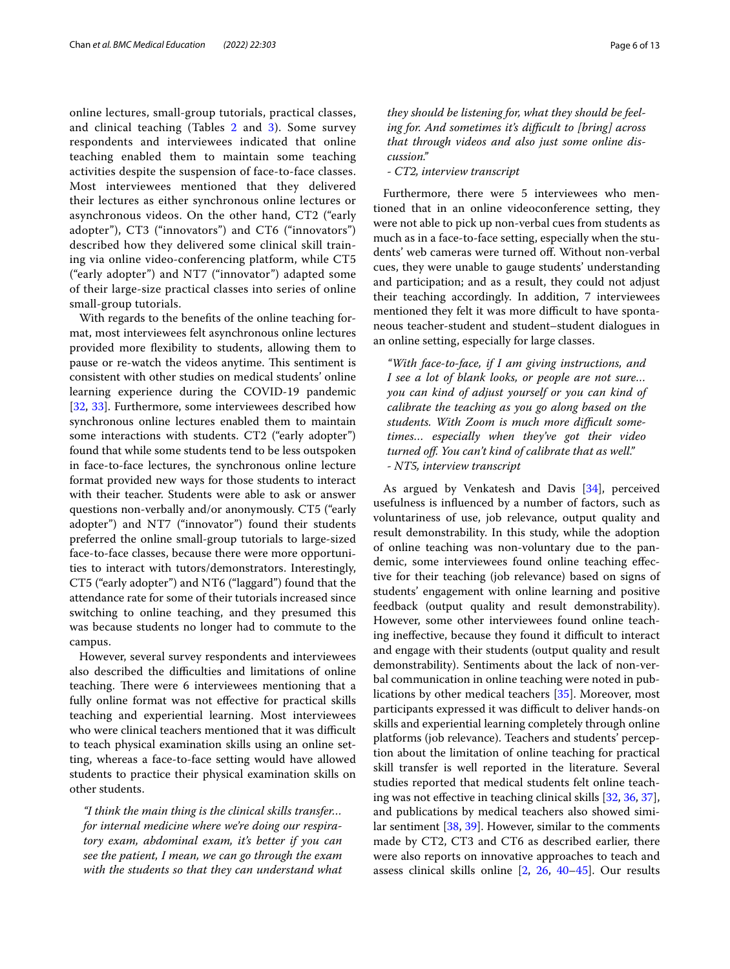online lectures, small-group tutorials, practical classes, and clinical teaching (Tables [2](#page-4-0) and [3\)](#page-4-1). Some survey respondents and interviewees indicated that online teaching enabled them to maintain some teaching activities despite the suspension of face-to-face classes. Most interviewees mentioned that they delivered their lectures as either synchronous online lectures or asynchronous videos. On the other hand, CT2 ("early adopter"), CT3 ("innovators") and CT6 ("innovators") described how they delivered some clinical skill training via online video-conferencing platform, while CT5 ("early adopter") and NT7 ("innovator") adapted some of their large-size practical classes into series of online small-group tutorials.

With regards to the benefts of the online teaching format, most interviewees felt asynchronous online lectures provided more fexibility to students, allowing them to pause or re-watch the videos anytime. This sentiment is consistent with other studies on medical students' online learning experience during the COVID-19 pandemic [[32,](#page-11-24) [33\]](#page-11-25). Furthermore, some interviewees described how synchronous online lectures enabled them to maintain some interactions with students. CT2 ("early adopter") found that while some students tend to be less outspoken in face-to-face lectures, the synchronous online lecture format provided new ways for those students to interact with their teacher. Students were able to ask or answer questions non-verbally and/or anonymously. CT5 ("early adopter") and NT7 ("innovator") found their students preferred the online small-group tutorials to large-sized face-to-face classes, because there were more opportunities to interact with tutors/demonstrators. Interestingly, CT5 ("early adopter") and NT6 ("laggard") found that the attendance rate for some of their tutorials increased since switching to online teaching, and they presumed this was because students no longer had to commute to the campus.

However, several survey respondents and interviewees also described the difficulties and limitations of online teaching. There were 6 interviewees mentioning that a fully online format was not efective for practical skills teaching and experiential learning. Most interviewees who were clinical teachers mentioned that it was difficult to teach physical examination skills using an online setting, whereas a face-to-face setting would have allowed students to practice their physical examination skills on other students.

*"I think the main thing is the clinical skills transfer… for internal medicine where we're doing our respiratory exam, abdominal exam, it's better if you can see the patient, I mean, we can go through the exam with the students so that they can understand what*  *they should be listening for, what they should be feeling for. And sometimes it's difcult to [bring] across that through videos and also just some online discussion."*

*- CT2, interview transcript*

Furthermore, there were 5 interviewees who mentioned that in an online videoconference setting, they were not able to pick up non-verbal cues from students as much as in a face-to-face setting, especially when the students' web cameras were turned of. Without non-verbal cues, they were unable to gauge students' understanding and participation; and as a result, they could not adjust their teaching accordingly. In addition, 7 interviewees mentioned they felt it was more difficult to have spontaneous teacher-student and student–student dialogues in an online setting, especially for large classes.

*"With face-to-face, if I am giving instructions, and I see a lot of blank looks, or people are not sure… you can kind of adjust yourself or you can kind of calibrate the teaching as you go along based on the students. With Zoom is much more difcult sometimes… especially when they've got their video turned of. You can't kind of calibrate that as well." - NT5, interview transcript*

As argued by Venkatesh and Davis [\[34](#page-11-26)], perceived usefulness is infuenced by a number of factors, such as voluntariness of use, job relevance, output quality and result demonstrability. In this study, while the adoption of online teaching was non-voluntary due to the pandemic, some interviewees found online teaching efective for their teaching (job relevance) based on signs of students' engagement with online learning and positive feedback (output quality and result demonstrability). However, some other interviewees found online teaching ineffective, because they found it difficult to interact and engage with their students (output quality and result demonstrability). Sentiments about the lack of non-verbal communication in online teaching were noted in publications by other medical teachers [[35\]](#page-11-27). Moreover, most participants expressed it was difficult to deliver hands-on skills and experiential learning completely through online platforms (job relevance). Teachers and students' perception about the limitation of online teaching for practical skill transfer is well reported in the literature. Several studies reported that medical students felt online teaching was not efective in teaching clinical skills [[32](#page-11-24), [36,](#page-11-28) [37](#page-11-29)], and publications by medical teachers also showed similar sentiment [[38,](#page-11-30) [39](#page-11-31)]. However, similar to the comments made by CT2, CT3 and CT6 as described earlier, there were also reports on innovative approaches to teach and assess clinical skills online [[2,](#page-11-1) [26,](#page-11-32) [40](#page-11-33)[–45\]](#page-11-34). Our results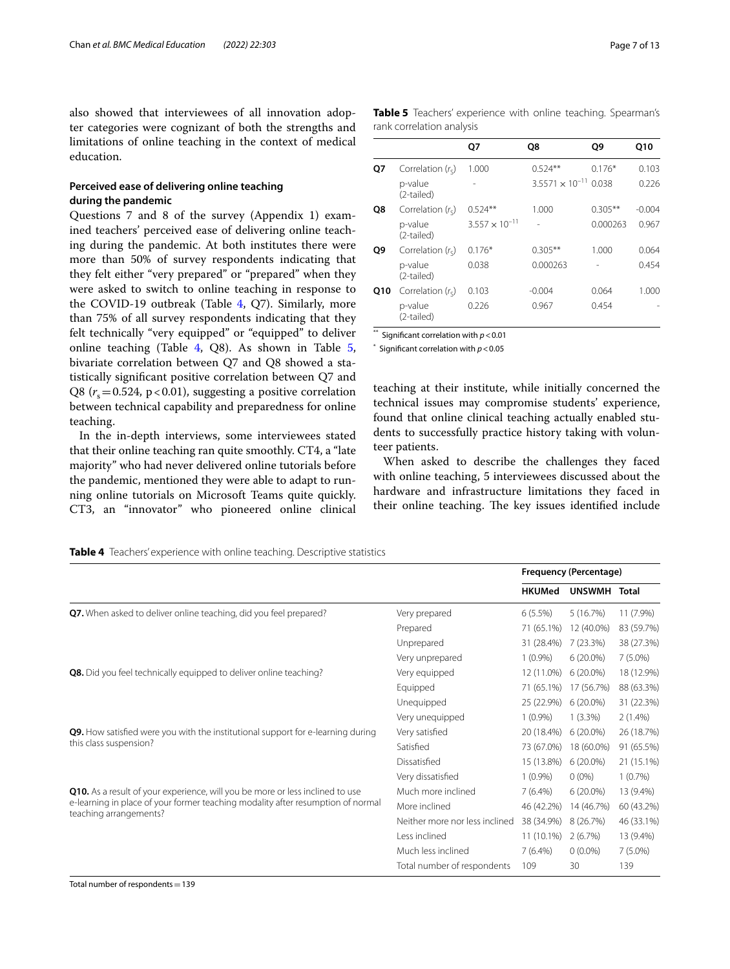also showed that interviewees of all innovation adopter categories were cognizant of both the strengths and limitations of online teaching in the context of medical education.

# **Perceived ease of delivering online teaching during the pandemic**

Questions 7 and 8 of the survey (Appendix 1) examined teachers' perceived ease of delivering online teaching during the pandemic. At both institutes there were more than 50% of survey respondents indicating that they felt either "very prepared" or "prepared" when they were asked to switch to online teaching in response to the COVID-19 outbreak (Table [4](#page-6-0), Q7). Similarly, more than 75% of all survey respondents indicating that they felt technically "very equipped" or "equipped" to deliver online teaching (Table [4](#page-6-0), Q8). As shown in Table [5](#page-6-1), bivariate correlation between Q7 and Q8 showed a statistically signifcant positive correlation between Q7 and Q8 ( $r_s$  = 0.524, p < 0.01), suggesting a positive correlation between technical capability and preparedness for online teaching.

In the in-depth interviews, some interviewees stated that their online teaching ran quite smoothly. CT4, a "late majority" who had never delivered online tutorials before the pandemic, mentioned they were able to adapt to running online tutorials on Microsoft Teams quite quickly. CT3, an "innovator" who pioneered online clinical <span id="page-6-1"></span>**Table 5** Teachers' experience with online teaching. Spearman's rank correlation analysis

|     |                       | Q7                      | O8                             | O9        | Q10      |
|-----|-----------------------|-------------------------|--------------------------------|-----------|----------|
| Q7  | Correlation $(rs)$    | 1.000                   | $0.524**$                      | $0.176*$  | 0.103    |
|     | p-value<br>(2-tailed) |                         | $3.5571 \times 10^{-11}$ 0.038 |           | 0.226    |
| Q8  | Correlation $(rs)$    | $0.524**$               | 1.000                          | $0.305**$ | $-0.004$ |
|     | p-value<br>(2-tailed) | $3.557 \times 10^{-11}$ |                                | 0.000263  | 0.967    |
| Q9  | Correlation $(rs)$    | $0.176*$                | $0.305***$                     | 1.000     | 0.064    |
|     | p-value<br>(2-tailed) | 0.038                   | 0.000263                       |           | 0.454    |
| Q10 | Correlation $(rs)$    | 0.103                   | $-0.004$                       | 0.064     | 1.000    |
|     | p-value<br>(2-tailed) | 0.226                   | 0.967                          | 0.454     |          |

\*\* Signifcant correlation with *p*<0.01

 $*$  Significant correlation with  $p < 0.05$ 

teaching at their institute, while initially concerned the technical issues may compromise students' experience, found that online clinical teaching actually enabled students to successfully practice history taking with volunteer patients.

When asked to describe the challenges they faced with online teaching, 5 interviewees discussed about the hardware and infrastructure limitations they faced in their online teaching. The key issues identified include

<span id="page-6-0"></span>**Table 4** Teachers' experience with online teaching. Descriptive statistics

|                                                                                 |                                | Frequency (Percentage) |              |            |
|---------------------------------------------------------------------------------|--------------------------------|------------------------|--------------|------------|
|                                                                                 |                                | <b>HKUMed</b>          | UNSWMH Total |            |
| Q7. When asked to deliver online teaching, did you feel prepared?               | Very prepared                  | $6(5.5\%)$             | 5(16.7%)     | 11 (7.9%)  |
|                                                                                 | Prepared                       | 71 (65.1%)             | 12 (40.0%)   | 83 (59.7%) |
|                                                                                 | Unprepared                     | 31 (28.4%)             | 7 (23.3%)    | 38 (27.3%) |
|                                                                                 | Very unprepared                | $1(0.9\%)$             | $6(20.0\%)$  | $7(5.0\%)$ |
| Q8. Did you feel technically equipped to deliver online teaching?               | Very equipped                  | 12 (11.0%)             | $6(20.0\%)$  | 18 (12.9%) |
|                                                                                 | Equipped                       | 71 (65.1%)             | 17 (56.7%)   | 88 (63.3%) |
|                                                                                 | Unequipped                     | 25 (22.9%)             | $6(20.0\%)$  | 31 (22.3%) |
|                                                                                 | Very unequipped                | $1(0.9\%)$             | $1(3.3\%)$   | $2(1.4\%)$ |
| Q9. How satisfied were you with the institutional support for e-learning during | Very satisfied                 | 20 (18.4%)             | $6(20.0\%)$  | 26 (18.7%) |
| this class suspension?                                                          | Satisfied                      | 73 (67.0%)             | 18 (60.0%)   | 91 (65.5%) |
|                                                                                 | Dissatisfied                   | 15 (13.8%)             | $6(20.0\%)$  | 21 (15.1%) |
|                                                                                 | Very dissatisfied              | $1(0.9\%)$             | $0(0\%)$     | $1(0.7\%)$ |
| Q10. As a result of your experience, will you be more or less inclined to use   | Much more inclined             | $7(6.4\%)$             | $6(20.0\%)$  | 13 (9.4%)  |
| e-learning in place of your former teaching modality after resumption of normal | More inclined                  | 46 (42.2%)             | 14 (46.7%)   | 60 (43.2%) |
| teaching arrangements?                                                          | Neither more nor less inclined | 38 (34.9%)             | 8 (26.7%)    | 46 (33.1%) |
|                                                                                 | Less inclined                  | 11 (10.1%)             | 2(6.7%)      | 13 (9.4%)  |
|                                                                                 | Much less inclined             | $7(6.4\%)$             | $0(0.0\%)$   | $7(5.0\%)$ |
|                                                                                 | Total number of respondents    | 109                    | 30           | 139        |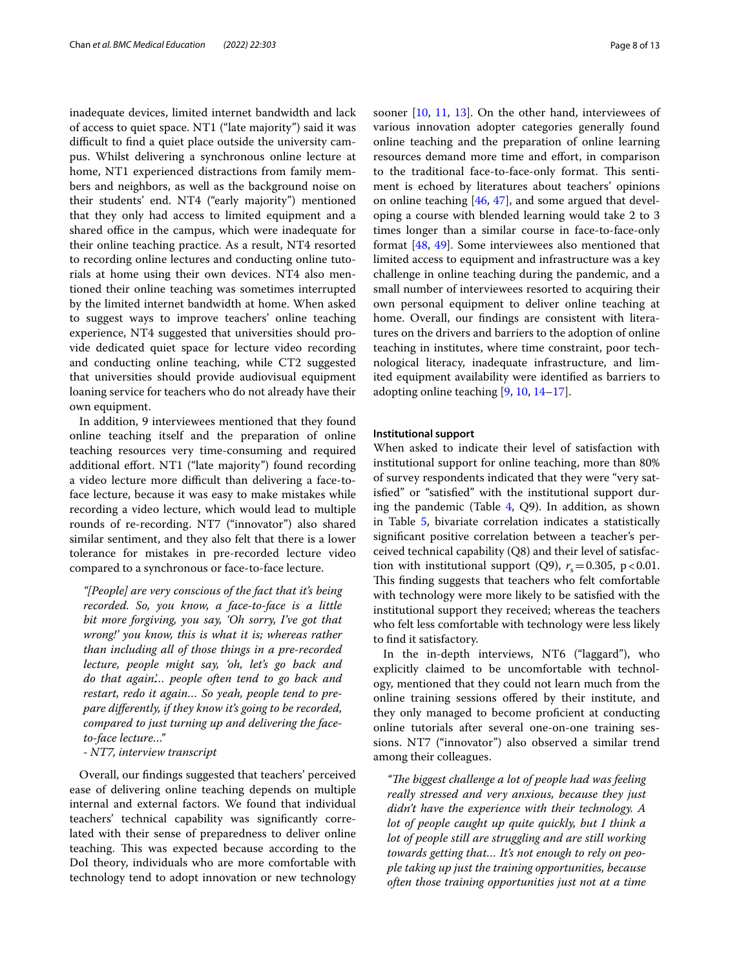inadequate devices, limited internet bandwidth and lack of access to quiet space. NT1 ("late majority") said it was difficult to find a quiet place outside the university campus. Whilst delivering a synchronous online lecture at home, NT1 experienced distractions from family members and neighbors, as well as the background noise on their students' end. NT4 ("early majority") mentioned that they only had access to limited equipment and a shared office in the campus, which were inadequate for their online teaching practice. As a result, NT4 resorted to recording online lectures and conducting online tutorials at home using their own devices. NT4 also mentioned their online teaching was sometimes interrupted by the limited internet bandwidth at home. When asked to suggest ways to improve teachers' online teaching experience, NT4 suggested that universities should provide dedicated quiet space for lecture video recording and conducting online teaching, while CT2 suggested that universities should provide audiovisual equipment loaning service for teachers who do not already have their own equipment.

In addition, 9 interviewees mentioned that they found online teaching itself and the preparation of online teaching resources very time-consuming and required additional efort. NT1 ("late majority") found recording a video lecture more difficult than delivering a face-toface lecture, because it was easy to make mistakes while recording a video lecture, which would lead to multiple rounds of re-recording. NT7 ("innovator") also shared similar sentiment, and they also felt that there is a lower tolerance for mistakes in pre-recorded lecture video compared to a synchronous or face-to-face lecture.

*"[People] are very conscious of the fact that it's being recorded. So, you know, a face-to-face is a little bit more forgiving, you say, 'Oh sorry, I've got that wrong!' you know, this is what it is; whereas rather than including all of those things in a pre-recorded lecture, people might say, 'oh, let's go back and do that again.'… people often tend to go back and restart, redo it again… So yeah, people tend to prepare diferently, if they know it's going to be recorded, compared to just turning up and delivering the faceto-face lecture…"*

*- NT7, interview transcript*

Overall, our fndings suggested that teachers' perceived ease of delivering online teaching depends on multiple internal and external factors. We found that individual teachers' technical capability was signifcantly correlated with their sense of preparedness to deliver online teaching. This was expected because according to the DoI theory, individuals who are more comfortable with technology tend to adopt innovation or new technology sooner [[10](#page-11-9), [11](#page-11-23), [13\]](#page-11-8). On the other hand, interviewees of various innovation adopter categories generally found online teaching and the preparation of online learning resources demand more time and effort, in comparison to the traditional face-to-face-only format. This sentiment is echoed by literatures about teachers' opinions on online teaching  $[46, 47]$  $[46, 47]$  $[46, 47]$  $[46, 47]$  $[46, 47]$ , and some argued that developing a course with blended learning would take 2 to 3 times longer than a similar course in face-to-face-only format [\[48,](#page-12-2) [49\]](#page-12-3). Some interviewees also mentioned that limited access to equipment and infrastructure was a key challenge in online teaching during the pandemic, and a small number of interviewees resorted to acquiring their own personal equipment to deliver online teaching at home. Overall, our fndings are consistent with literatures on the drivers and barriers to the adoption of online teaching in institutes, where time constraint, poor technological literacy, inadequate infrastructure, and limited equipment availability were identifed as barriers to adopting online teaching [\[9](#page-11-6), [10,](#page-11-9) [14](#page-11-10)[–17\]](#page-11-11).

# **Institutional support**

When asked to indicate their level of satisfaction with institutional support for online teaching, more than 80% of survey respondents indicated that they were "very satisfed" or "satisfed" with the institutional support during the pandemic (Table  $4$ , Q9). In addition, as shown in Table [5](#page-6-1), bivariate correlation indicates a statistically signifcant positive correlation between a teacher's perceived technical capability (Q8) and their level of satisfaction with institutional support (Q9),  $r_s = 0.305$ , p<0.01. This finding suggests that teachers who felt comfortable with technology were more likely to be satisfed with the institutional support they received; whereas the teachers who felt less comfortable with technology were less likely to fnd it satisfactory.

In the in-depth interviews, NT6 ("laggard"), who explicitly claimed to be uncomfortable with technology, mentioned that they could not learn much from the online training sessions ofered by their institute, and they only managed to become proficient at conducting online tutorials after several one-on-one training sessions. NT7 ("innovator") also observed a similar trend among their colleagues.

"The biggest challenge a lot of people had was feeling *really stressed and very anxious, because they just didn't have the experience with their technology. A lot of people caught up quite quickly, but I think a lot of people still are struggling and are still working towards getting that… It's not enough to rely on people taking up just the training opportunities, because often those training opportunities just not at a time*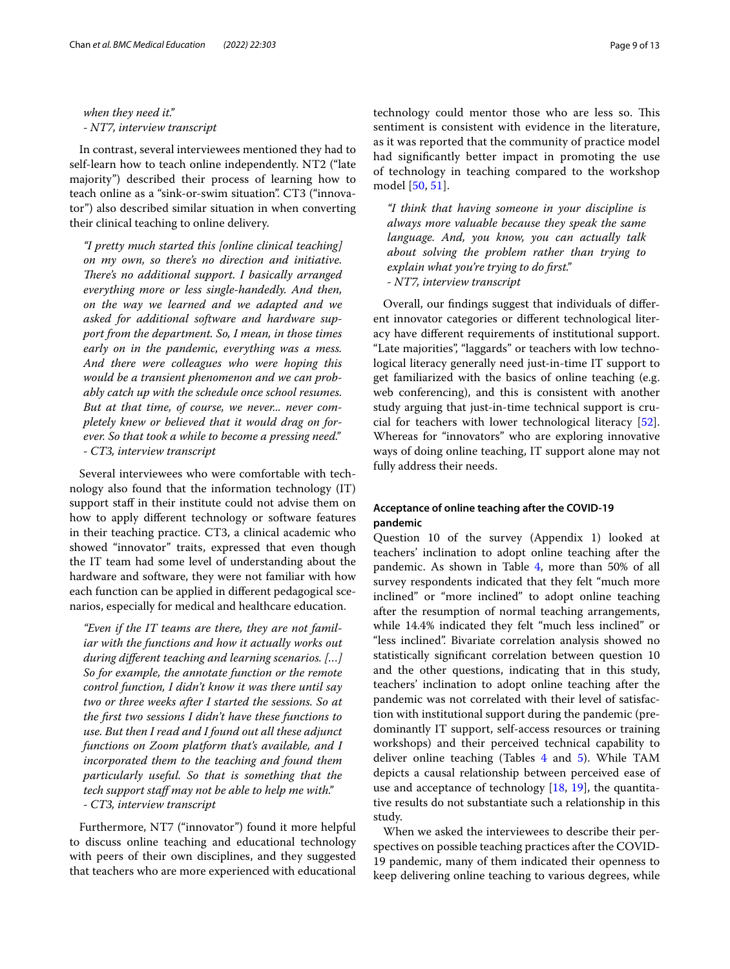*when they need it." - NT7, interview transcript*

In contrast, several interviewees mentioned they had to self-learn how to teach online independently. NT2 ("late majority") described their process of learning how to teach online as a "sink-or-swim situation". CT3 ("innovator") also described similar situation in when converting their clinical teaching to online delivery.

*"I pretty much started this [online clinical teaching] on my own, so there's no direction and initiative. There's no additional support. I basically arranged everything more or less single-handedly. And then, on the way we learned and we adapted and we asked for additional software and hardware support from the department. So, I mean, in those times early on in the pandemic, everything was a mess. And there were colleagues who were hoping this would be a transient phenomenon and we can probably catch up with the schedule once school resumes. But at that time, of course, we never... never completely knew or believed that it would drag on forever. So that took a while to become a pressing need." - CT3, interview transcript*

Several interviewees who were comfortable with technology also found that the information technology (IT) support staff in their institute could not advise them on how to apply diferent technology or software features in their teaching practice. CT3, a clinical academic who showed "innovator" traits, expressed that even though the IT team had some level of understanding about the hardware and software, they were not familiar with how each function can be applied in diferent pedagogical scenarios, especially for medical and healthcare education.

*"Even if the IT teams are there, they are not familiar with the functions and how it actually works out during diferent teaching and learning scenarios. […] So for example, the annotate function or the remote control function, I didn't know it was there until say two or three weeks after I started the sessions. So at the frst two sessions I didn't have these functions to use. But then I read and I found out all these adjunct functions on Zoom platform that's available, and I incorporated them to the teaching and found them particularly useful. So that is something that the tech support staff may not be able to help me with.*" *- CT3, interview transcript*

Furthermore, NT7 ("innovator") found it more helpful to discuss online teaching and educational technology with peers of their own disciplines, and they suggested that teachers who are more experienced with educational technology could mentor those who are less so. This sentiment is consistent with evidence in the literature, as it was reported that the community of practice model had signifcantly better impact in promoting the use of technology in teaching compared to the workshop model [[50,](#page-12-4) [51](#page-12-5)].

*"I think that having someone in your discipline is always more valuable because they speak the same language. And, you know, you can actually talk about solving the problem rather than trying to explain what you're trying to do frst." - NT7, interview transcript*

Overall, our fndings suggest that individuals of diferent innovator categories or diferent technological literacy have diferent requirements of institutional support. "Late majorities", "laggards" or teachers with low technological literacy generally need just-in-time IT support to get familiarized with the basics of online teaching (e.g. web conferencing), and this is consistent with another study arguing that just-in-time technical support is crucial for teachers with lower technological literacy [\[52](#page-12-6)]. Whereas for "innovators" who are exploring innovative ways of doing online teaching, IT support alone may not fully address their needs.

# **Acceptance of online teaching after the COVID‑19 pandemic**

Question 10 of the survey (Appendix 1) looked at teachers' inclination to adopt online teaching after the pandemic. As shown in Table [4](#page-6-0), more than 50% of all survey respondents indicated that they felt "much more inclined" or "more inclined" to adopt online teaching after the resumption of normal teaching arrangements, while 14.4% indicated they felt "much less inclined" or "less inclined". Bivariate correlation analysis showed no statistically signifcant correlation between question 10 and the other questions, indicating that in this study, teachers' inclination to adopt online teaching after the pandemic was not correlated with their level of satisfaction with institutional support during the pandemic (predominantly IT support, self-access resources or training workshops) and their perceived technical capability to deliver online teaching (Tables [4](#page-6-0) and [5](#page-6-1)). While TAM depicts a causal relationship between perceived ease of use and acceptance of technology  $[18, 19]$  $[18, 19]$  $[18, 19]$  $[18, 19]$ , the quantitative results do not substantiate such a relationship in this study.

When we asked the interviewees to describe their perspectives on possible teaching practices after the COVID-19 pandemic, many of them indicated their openness to keep delivering online teaching to various degrees, while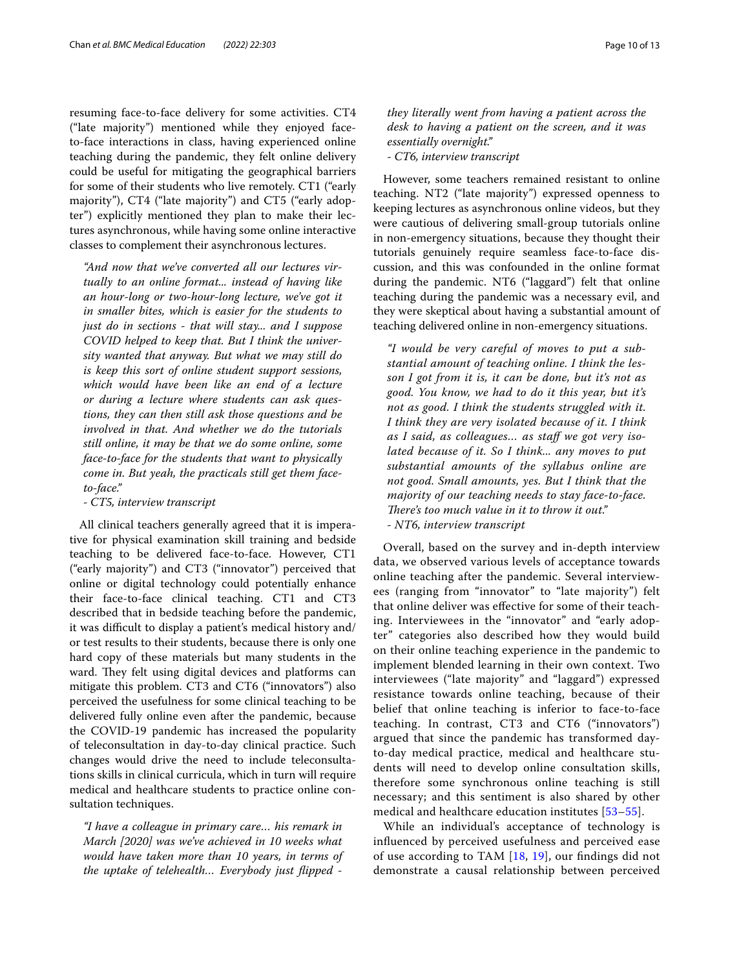resuming face-to-face delivery for some activities. CT4 ("late majority") mentioned while they enjoyed faceto-face interactions in class, having experienced online teaching during the pandemic, they felt online delivery could be useful for mitigating the geographical barriers for some of their students who live remotely. CT1 ("early majority"), CT4 ("late majority") and CT5 ("early adopter") explicitly mentioned they plan to make their lectures asynchronous, while having some online interactive classes to complement their asynchronous lectures.

*"And now that we've converted all our lectures virtually to an online format... instead of having like an hour-long or two-hour-long lecture, we've got it in smaller bites, which is easier for the students to just do in sections - that will stay... and I suppose COVID helped to keep that. But I think the university wanted that anyway. But what we may still do is keep this sort of online student support sessions, which would have been like an end of a lecture or during a lecture where students can ask questions, they can then still ask those questions and be involved in that. And whether we do the tutorials still online, it may be that we do some online, some face-to-face for the students that want to physically come in. But yeah, the practicals still get them faceto-face."*

*- CT5, interview transcript*

All clinical teachers generally agreed that it is imperative for physical examination skill training and bedside teaching to be delivered face-to-face. However, CT1 ("early majority") and CT3 ("innovator") perceived that online or digital technology could potentially enhance their face-to-face clinical teaching. CT1 and CT3 described that in bedside teaching before the pandemic, it was difficult to display a patient's medical history and/ or test results to their students, because there is only one hard copy of these materials but many students in the ward. They felt using digital devices and platforms can mitigate this problem. CT3 and CT6 ("innovators") also perceived the usefulness for some clinical teaching to be delivered fully online even after the pandemic, because the COVID-19 pandemic has increased the popularity of teleconsultation in day-to-day clinical practice. Such changes would drive the need to include teleconsultations skills in clinical curricula, which in turn will require medical and healthcare students to practice online consultation techniques.

*"I have a colleague in primary care… his remark in March [2020] was we've achieved in 10 weeks what would have taken more than 10 years, in terms of the uptake of telehealth… Everybody just fipped -* 

*they literally went from having a patient across the desk to having a patient on the screen, and it was essentially overnight."*

*- CT6, interview transcript*

However, some teachers remained resistant to online teaching. NT2 ("late majority") expressed openness to keeping lectures as asynchronous online videos, but they were cautious of delivering small-group tutorials online in non-emergency situations, because they thought their tutorials genuinely require seamless face-to-face discussion, and this was confounded in the online format during the pandemic. NT6 ("laggard") felt that online teaching during the pandemic was a necessary evil, and they were skeptical about having a substantial amount of teaching delivered online in non-emergency situations.

*"I would be very careful of moves to put a substantial amount of teaching online. I think the lesson I got from it is, it can be done, but it's not as good. You know, we had to do it this year, but it's not as good. I think the students struggled with it. I think they are very isolated because of it. I think*  as I said, as colleagues... as staff we got very iso*lated because of it. So I think... any moves to put substantial amounts of the syllabus online are not good. Small amounts, yes. But I think that the majority of our teaching needs to stay face-to-face. There's too much value in it to throw it out." - NT6, interview transcript*

Overall, based on the survey and in-depth interview data, we observed various levels of acceptance towards online teaching after the pandemic. Several interviewees (ranging from "innovator" to "late majority") felt that online deliver was efective for some of their teaching. Interviewees in the "innovator" and "early adopter" categories also described how they would build on their online teaching experience in the pandemic to implement blended learning in their own context. Two interviewees ("late majority" and "laggard") expressed resistance towards online teaching, because of their belief that online teaching is inferior to face-to-face teaching. In contrast, CT3 and CT6 ("innovators") argued that since the pandemic has transformed dayto-day medical practice, medical and healthcare students will need to develop online consultation skills, therefore some synchronous online teaching is still necessary; and this sentiment is also shared by other medical and healthcare education institutes [[53](#page-12-7)[–55](#page-12-8)].

While an individual's acceptance of technology is infuenced by perceived usefulness and perceived ease of use according to TAM [[18,](#page-11-12) [19](#page-11-13)], our fndings did not demonstrate a causal relationship between perceived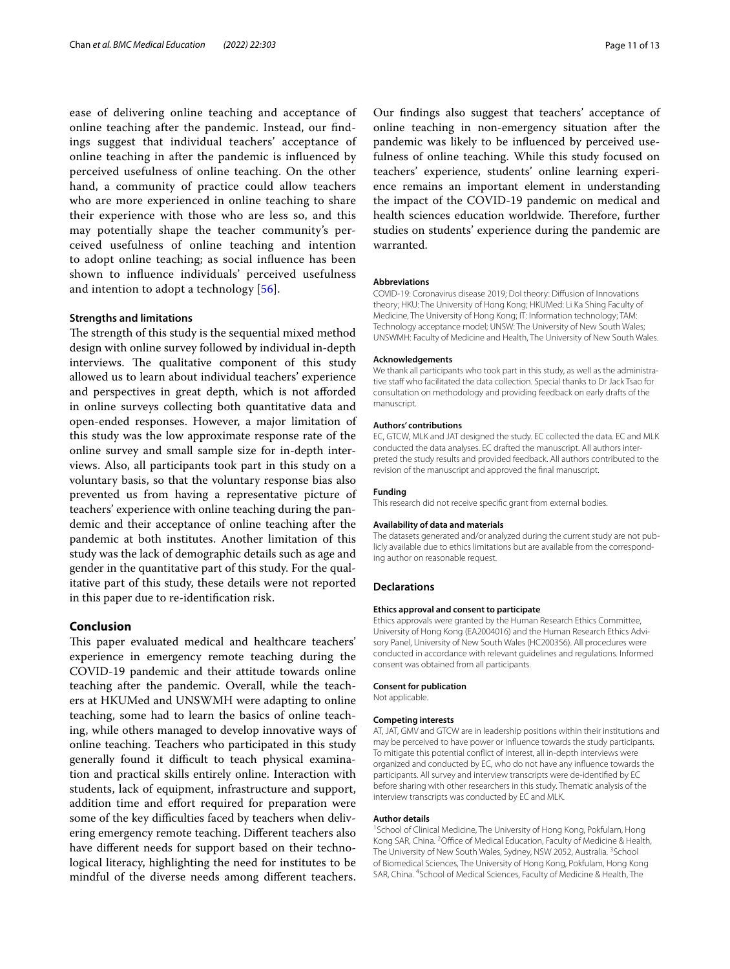ease of delivering online teaching and acceptance of online teaching after the pandemic. Instead, our fndings suggest that individual teachers' acceptance of online teaching in after the pandemic is infuenced by perceived usefulness of online teaching. On the other hand, a community of practice could allow teachers who are more experienced in online teaching to share their experience with those who are less so, and this may potentially shape the teacher community's perceived usefulness of online teaching and intention to adopt online teaching; as social infuence has been shown to infuence individuals' perceived usefulness and intention to adopt a technology [[56](#page-12-9)].

### **Strengths and limitations**

The strength of this study is the sequential mixed method design with online survey followed by individual in-depth interviews. The qualitative component of this study allowed us to learn about individual teachers' experience and perspectives in great depth, which is not aforded in online surveys collecting both quantitative data and open-ended responses. However, a major limitation of this study was the low approximate response rate of the online survey and small sample size for in-depth interviews. Also, all participants took part in this study on a voluntary basis, so that the voluntary response bias also prevented us from having a representative picture of teachers' experience with online teaching during the pandemic and their acceptance of online teaching after the pandemic at both institutes. Another limitation of this study was the lack of demographic details such as age and gender in the quantitative part of this study. For the qualitative part of this study, these details were not reported in this paper due to re-identifcation risk.

# **Conclusion**

This paper evaluated medical and healthcare teachers' experience in emergency remote teaching during the COVID-19 pandemic and their attitude towards online teaching after the pandemic. Overall, while the teachers at HKUMed and UNSWMH were adapting to online teaching, some had to learn the basics of online teaching, while others managed to develop innovative ways of online teaching. Teachers who participated in this study generally found it difficult to teach physical examination and practical skills entirely online. Interaction with students, lack of equipment, infrastructure and support, addition time and effort required for preparation were some of the key difficulties faced by teachers when delivering emergency remote teaching. Diferent teachers also have diferent needs for support based on their technological literacy, highlighting the need for institutes to be mindful of the diverse needs among diferent teachers.

Our fndings also suggest that teachers' acceptance of online teaching in non-emergency situation after the pandemic was likely to be infuenced by perceived usefulness of online teaching. While this study focused on teachers' experience, students' online learning experience remains an important element in understanding the impact of the COVID-19 pandemic on medical and health sciences education worldwide. Therefore, further studies on students' experience during the pandemic are warranted.

#### **Abbreviations**

COVID-19: Coronavirus disease 2019; DoI theory: Difusion of Innovations theory; HKU: The University of Hong Kong; HKUMed: Li Ka Shing Faculty of Medicine, The University of Hong Kong; IT: Information technology; TAM: Technology acceptance model; UNSW: The University of New South Wales; UNSWMH: Faculty of Medicine and Health, The University of New South Wales.

#### **Acknowledgements**

We thank all participants who took part in this study, as well as the administrative staff who facilitated the data collection. Special thanks to Dr Jack Tsao for consultation on methodology and providing feedback on early drafts of the manuscript.

#### **Authors' contributions**

EC, GTCW, MLK and JAT designed the study. EC collected the data. EC and MLK conducted the data analyses. EC drafted the manuscript. All authors interpreted the study results and provided feedback. All authors contributed to the revision of the manuscript and approved the fnal manuscript.

#### **Funding**

This research did not receive specifc grant from external bodies.

#### **Availability of data and materials**

The datasets generated and/or analyzed during the current study are not publicly available due to ethics limitations but are available from the corresponding author on reasonable request.

#### **Declarations**

#### **Ethics approval and consent to participate**

Ethics approvals were granted by the Human Research Ethics Committee, University of Hong Kong (EA2004016) and the Human Research Ethics Advisory Panel, University of New South Wales (HC200356). All procedures were conducted in accordance with relevant guidelines and regulations. Informed consent was obtained from all participants.

#### **Consent for publication**

Not applicable.

### **Competing interests**

AT, JAT, GMV and GTCW are in leadership positions within their institutions and may be perceived to have power or infuence towards the study participants. To mitigate this potential confict of interest, all in-depth interviews were organized and conducted by EC, who do not have any infuence towards the participants. All survey and interview transcripts were de-identifed by EC before sharing with other researchers in this study. Thematic analysis of the interview transcripts was conducted by EC and MLK.

#### **Author details**

<sup>1</sup> School of Clinical Medicine, The University of Hong Kong, Pokfulam, Hong Kong SAR, China. <sup>2</sup> Office of Medical Education, Faculty of Medicine & Health, The University of New South Wales, Sydney, NSW 2052, Australia. <sup>3</sup> School of Biomedical Sciences, The University of Hong Kong, Pokfulam, Hong Kong SAR, China. <sup>4</sup> School of Medical Sciences, Faculty of Medicine & Health, The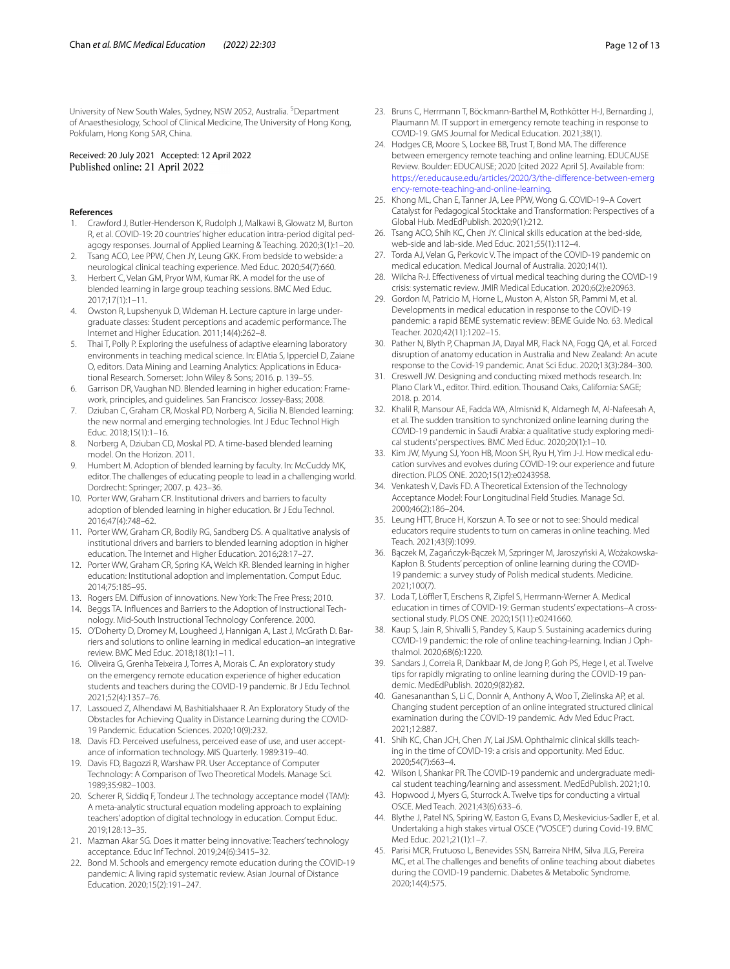University of New South Wales, Sydney, NSW 2052, Australia. <sup>5</sup>Department of Anaesthesiology, School of Clinical Medicine, The University of Hong Kong, Pokfulam, Hong Kong SAR, China.

# Received: 20 July 2021 Accepted: 12 April 2022

#### **References**

- <span id="page-11-0"></span>1. Crawford J, Butler-Henderson K, Rudolph J, Malkawi B, Glowatz M, Burton R, et al. COVID-19: 20 countries' higher education intra-period digital pedagogy responses. Journal of Applied Learning & Teaching. 2020;3(1):1–20.
- <span id="page-11-1"></span>2. Tsang ACO, Lee PPW, Chen JY, Leung GKK. From bedside to webside: a neurological clinical teaching experience. Med Educ. 2020;54(7):660.
- <span id="page-11-2"></span>3. Herbert C, Velan GM, Pryor WM, Kumar RK. A model for the use of blended learning in large group teaching sessions. BMC Med Educ. 2017;17(1):1–11.
- 4. Owston R, Lupshenyuk D, Wideman H. Lecture capture in large undergraduate classes: Student perceptions and academic performance. The Internet and Higher Education. 2011;14(4):262–8.
- <span id="page-11-3"></span>5. Thai T, Polly P. Exploring the usefulness of adaptive elearning laboratory environments in teaching medical science. In: ElAtia S, Ipperciel D, Zaiane O, editors. Data Mining and Learning Analytics: Applications in Educational Research. Somerset: John Wiley & Sons; 2016. p. 139–55.
- <span id="page-11-4"></span>6. Garrison DR, Vaughan ND. Blended learning in higher education: Framework, principles, and guidelines. San Francisco: Jossey-Bass; 2008.
- 7. Dziuban C, Graham CR, Moskal PD, Norberg A, Sicilia N. Blended learning: the new normal and emerging technologies. Int J Educ Technol High Educ. 2018;15(1):1–16.
- <span id="page-11-5"></span>8. Norberg A, Dziuban CD, Moskal PD. A time‐based blended learning model. On the Horizon. 2011.
- <span id="page-11-6"></span>9. Humbert M. Adoption of blended learning by faculty. In: McCuddy MK, editor. The challenges of educating people to lead in a challenging world. Dordrecht: Springer; 2007. p. 423–36.
- <span id="page-11-9"></span>10. Porter WW, Graham CR. Institutional drivers and barriers to faculty adoption of blended learning in higher education. Br J Edu Technol. 2016;47(4):748–62.
- <span id="page-11-23"></span>11. Porter WW, Graham CR, Bodily RG, Sandberg DS. A qualitative analysis of institutional drivers and barriers to blended learning adoption in higher education. The Internet and Higher Education. 2016;28:17–27.
- <span id="page-11-7"></span>12. Porter WW, Graham CR, Spring KA, Welch KR. Blended learning in higher education: Institutional adoption and implementation. Comput Educ. 2014;75:185–95.
- <span id="page-11-8"></span>13. Rogers EM. Difusion of innovations. New York: The Free Press; 2010.
- <span id="page-11-10"></span>14. Beggs TA. Infuences and Barriers to the Adoption of Instructional Technology. Mid-South Instructional Technology Conference. 2000.
- 15. O'Doherty D, Dromey M, Lougheed J, Hannigan A, Last J, McGrath D. Barriers and solutions to online learning in medical education–an integrative review. BMC Med Educ. 2018;18(1):1–11.
- 16. Oliveira G, Grenha Teixeira J, Torres A, Morais C. An exploratory study on the emergency remote education experience of higher education students and teachers during the COVID-19 pandemic. Br J Edu Technol. 2021;52(4):1357–76.
- <span id="page-11-11"></span>17. Lassoued Z, Alhendawi M, Bashitialshaaer R. An Exploratory Study of the Obstacles for Achieving Quality in Distance Learning during the COVID-19 Pandemic. Education Sciences. 2020;10(9):232.
- <span id="page-11-12"></span>18. Davis FD. Perceived usefulness, perceived ease of use, and user acceptance of information technology. MIS Quarterly. 1989:319–40.
- <span id="page-11-13"></span>19. Davis FD, Bagozzi R, Warshaw PR. User Acceptance of Computer Technology: A Comparison of Two Theoretical Models. Manage Sci. 1989;35:982–1003.
- <span id="page-11-14"></span>20. Scherer R, Siddiq F, Tondeur J. The technology acceptance model (TAM): A meta-analytic structural equation modeling approach to explaining teachers' adoption of digital technology in education. Comput Educ. 2019;128:13–35.
- <span id="page-11-15"></span>21. Mazman Akar SG. Does it matter being innovative: Teachers' technology acceptance. Educ Inf Technol. 2019;24(6):3415–32.
- <span id="page-11-16"></span>22. Bond M. Schools and emergency remote education during the COVID-19 pandemic: A living rapid systematic review. Asian Journal of Distance Education. 2020;15(2):191–247.
- <span id="page-11-17"></span>23. Bruns C, Herrmann T, Böckmann-Barthel M, Rothkötter H-J, Bernarding J, Plaumann M. IT support in emergency remote teaching in response to COVID-19. GMS Journal for Medical Education. 2021;38(1).
- <span id="page-11-18"></span>24. Hodges CB, Moore S, Lockee BB, Trust T, Bond MA. The diference between emergency remote teaching and online learning. EDUCAUSE Review. Boulder: EDUCAUSE; 2020 [cited 2022 April 5]. Available from: [https://er.educause.edu/articles/2020/3/the-diference-between-emerg](https://er.educause.edu/articles/2020/3/the-difference-between-emergency-remote-teaching-and-online-learning) [ency-remote-teaching-and-online-learning.](https://er.educause.edu/articles/2020/3/the-difference-between-emergency-remote-teaching-and-online-learning)
- <span id="page-11-19"></span>25. Khong ML, Chan E, Tanner JA, Lee PPW, Wong G. COVID-19–A Covert Catalyst for Pedagogical Stocktake and Transformation: Perspectives of a Global Hub. MedEdPublish. 2020;9(1):212.
- <span id="page-11-32"></span>26. Tsang ACO, Shih KC, Chen JY. Clinical skills education at the bed-side, web-side and lab-side. Med Educ. 2021;55(1):112–4.
- 27. Torda AJ, Velan G, Perkovic V. The impact of the COVID-19 pandemic on medical education. Medical Journal of Australia. 2020;14(1).
- 28. Wilcha R-J. Efectiveness of virtual medical teaching during the COVID-19 crisis: systematic review. JMIR Medical Education. 2020;6(2):e20963.
- <span id="page-11-20"></span>29. Gordon M, Patricio M, Horne L, Muston A, Alston SR, Pammi M, et al. Developments in medical education in response to the COVID-19 pandemic: a rapid BEME systematic review: BEME Guide No. 63. Medical Teacher. 2020;42(11):1202–15.
- <span id="page-11-21"></span>30. Pather N, Blyth P, Chapman JA, Dayal MR, Flack NA, Fogg QA, et al. Forced disruption of anatomy education in Australia and New Zealand: An acute response to the Covid-19 pandemic. Anat Sci Educ. 2020;13(3):284–300.
- <span id="page-11-22"></span>31. Creswell JW. Designing and conducting mixed methods research. In: Plano Clark VL, editor. Third. edition. Thousand Oaks, California: SAGE; 2018. p. 2014.
- <span id="page-11-24"></span>32. Khalil R, Mansour AE, Fadda WA, Almisnid K, Aldamegh M, Al-Nafeesah A, et al. The sudden transition to synchronized online learning during the COVID-19 pandemic in Saudi Arabia: a qualitative study exploring medical students' perspectives. BMC Med Educ. 2020;20(1):1–10.
- <span id="page-11-25"></span>33. Kim JW, Myung SJ, Yoon HB, Moon SH, Ryu H, Yim J-J. How medical education survives and evolves during COVID-19: our experience and future direction. PLOS ONE. 2020;15(12):e0243958.
- <span id="page-11-26"></span>34. Venkatesh V, Davis FD. A Theoretical Extension of the Technology Acceptance Model: Four Longitudinal Field Studies. Manage Sci. 2000;46(2):186–204.
- <span id="page-11-27"></span>35. Leung HTT, Bruce H, Korszun A. To see or not to see: Should medical educators require students to turn on cameras in online teaching. Med Teach. 2021;43(9):1099.
- <span id="page-11-28"></span>36. Bączek M, Zagańczyk-Bączek M, Szpringer M, Jaroszyński A, Wożakowska-Kapłon B. Students' perception of online learning during the COVID-19 pandemic: a survey study of Polish medical students. Medicine. 2021;100(7).
- <span id="page-11-29"></span>37. Loda T, Löffler T, Erschens R, Zipfel S, Herrmann-Werner A. Medical education in times of COVID-19: German students' expectations–A crosssectional study. PLOS ONE. 2020;15(11):e0241660.
- <span id="page-11-30"></span>38. Kaup S, Jain R, Shivalli S, Pandey S, Kaup S. Sustaining academics during COVID-19 pandemic: the role of online teaching-learning. Indian J Ophthalmol. 2020;68(6):1220.
- <span id="page-11-31"></span>39. Sandars J, Correia R, Dankbaar M, de Jong P, Goh PS, Hege I, et al. Twelve tips for rapidly migrating to online learning during the COVID-19 pandemic. MedEdPublish. 2020;9(82):82.
- <span id="page-11-33"></span>40. Ganesananthan S, Li C, Donnir A, Anthony A, Woo T, Zielinska AP, et al. Changing student perception of an online integrated structured clinical examination during the COVID-19 pandemic. Adv Med Educ Pract. 2021;12:887.
- 41. Shih KC, Chan JCH, Chen JY, Lai JSM. Ophthalmic clinical skills teaching in the time of COVID-19: a crisis and opportunity. Med Educ. 2020;54(7):663–4.
- 42. Wilson I, Shankar PR. The COVID-19 pandemic and undergraduate medical student teaching/learning and assessment. MedEdPublish. 2021;10.
- 43. Hopwood J, Myers G, Sturrock A. Twelve tips for conducting a virtual OSCE. Med Teach. 2021;43(6):633–6.
- 44. Blythe J, Patel NS, Spiring W, Easton G, Evans D, Meskevicius-Sadler E, et al. Undertaking a high stakes virtual OSCE ("VOSCE") during Covid-19. BMC Med Educ. 2021;21(1):1–7.
- <span id="page-11-34"></span>45. Parisi MCR, Frutuoso L, Benevides SSN, Barreira NHM, Silva JLG, Pereira MC, et al. The challenges and benefts of online teaching about diabetes during the COVID-19 pandemic. Diabetes & Metabolic Syndrome. 2020;14(4):575.